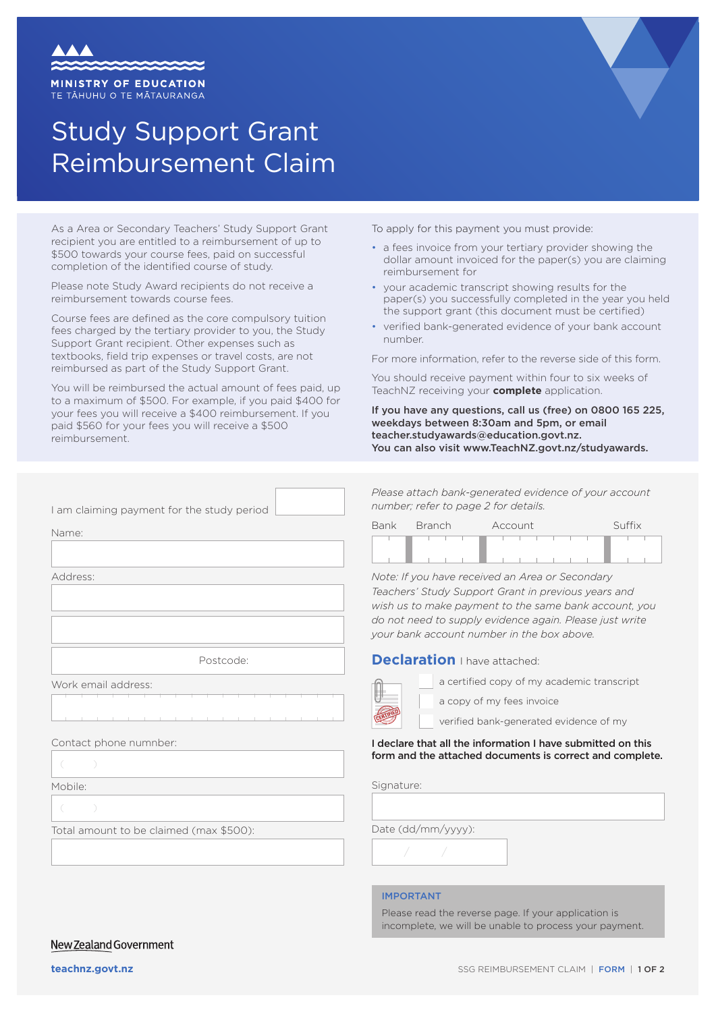

TE TĀHUHU O TE MĀTAURANGA

# Study Support Grant Reimbursement Claim

As a Area or Secondary Teachers' Study Support Grant recipient you are entitled to a reimbursement of up to \$500 towards your course fees, paid on successful completion of the identified course of study.

Please note Study Award recipients do not receive a reimbursement towards course fees.

Course fees are defined as the core compulsory tuition fees charged by the tertiary provider to you, the Study Support Grant recipient. Other expenses such as textbooks, field trip expenses or travel costs, are not reimbursed as part of the Study Support Grant.

You will be reimbursed the actual amount of fees paid, up to a maximum of \$500. For example, if you paid \$400 for your fees you will receive a \$400 reimbursement. If you paid \$560 for your fees you will receive a \$500 reimbursement.

To apply for this payment you must provide:

- a fees invoice from your tertiary provider showing the dollar amount invoiced for the paper(s) you are claiming reimbursement for
- your academic transcript showing results for the paper(s) you successfully completed in the year you held the support grant (this document must be certified)
- verified bank-generated evidence of your bank account number.

For more information, refer to the reverse side of this form.

You should receive payment within four to six weeks of TeachNZ receiving your **complete** application.

If you have any questions, call us (free) on 0800 165 225, weekdays between 8:30am and 5pm, or email teacher.studyawards@education.govt.nz. You can also visit www.TeachNZ.govt.nz/studyawards.

I am claiming payment for the study period

Name:

Address:

Postcode:

Work email address:

#### Contact phone numnber:

Mobile:

Total amount to be claimed (max \$500):

*Please attach bank-generated evidence of your account number; refer to page 2 for details.*

| Bank | Branch <sup>1</sup> |  | Account |  |  |  |  |  | Suffix |  |  |  |  |
|------|---------------------|--|---------|--|--|--|--|--|--------|--|--|--|--|
|      |                     |  |         |  |  |  |  |  |        |  |  |  |  |
|      |                     |  |         |  |  |  |  |  |        |  |  |  |  |

*Note: If you have received an Area or Secondary Teachers' Study Support Grant in previous years and wish us to make payment to the same bank account, you do not need to supply evidence again. Please just write your bank account number in the box above.*

#### **Declaration** I have attached:



a certified copy of my academic transcript

a copy of my fees invoice

verified bank-generated evidence of my

#### I declare that all the information I have submitted on this form and the attached documents is correct and complete.

Signature:

Date (dd/mm/yyyy):

#### IMPORTANT

/ /

Please read the reverse page. If your application is incomplete, we will be unable to process your payment.

#### New Zealand Government